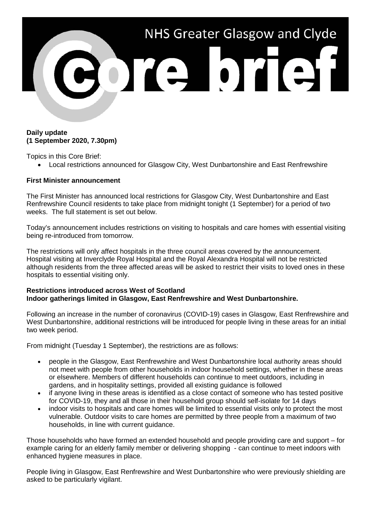

## **Daily update (1 September 2020, 7.30pm)**

Topics in this Core Brief:

• Local restrictions announced for Glasgow City, West Dunbartonshire and East Renfrewshire

## **First Minister announcement**

The First Minister has announced local restrictions for Glasgow City, West Dunbartonshire and East Renfrewshire Council residents to take place from midnight tonight (1 September) for a period of two weeks. The full statement is set out below.

Today's announcement includes restrictions on visiting to hospitals and care homes with essential visiting being re-introduced from tomorrow.

The restrictions will only affect hospitals in the three council areas covered by the announcement. Hospital visiting at Inverclyde Royal Hospital and the Royal Alexandra Hospital will not be restricted although residents from the three affected areas will be asked to restrict their visits to loved ones in these hospitals to essential visiting only.

## **Restrictions introduced across West of Scotland Indoor gatherings limited in Glasgow, East Renfrewshire and West Dunbartonshire.**

Following an increase in the number of coronavirus (COVID-19) cases in Glasgow, East Renfrewshire and West Dunbartonshire, additional restrictions will be introduced for people living in these areas for an initial two week period.

From midnight (Tuesday 1 September), the restrictions are as follows:

- people in the Glasgow, East Renfrewshire and West Dunbartonshire local authority areas should not meet with people from other households in indoor household settings, whether in these areas or elsewhere. Members of different households can continue to meet outdoors, including in gardens, and in hospitality settings, provided all existing guidance is followed
- if anyone living in these areas is identified as a close contact of someone who has tested positive for COVID-19, they and all those in their household group should self-isolate for 14 days
- indoor visits to hospitals and care homes will be limited to essential visits only to protect the most vulnerable. Outdoor visits to care homes are permitted by three people from a maximum of two households, in line with current quidance.

Those households who have formed an extended household and people providing care and support – for example caring for an elderly family member or delivering shopping - can continue to meet indoors with enhanced hygiene measures in place.

People living in Glasgow, East Renfrewshire and West Dunbartonshire who were previously shielding are asked to be particularly vigilant.